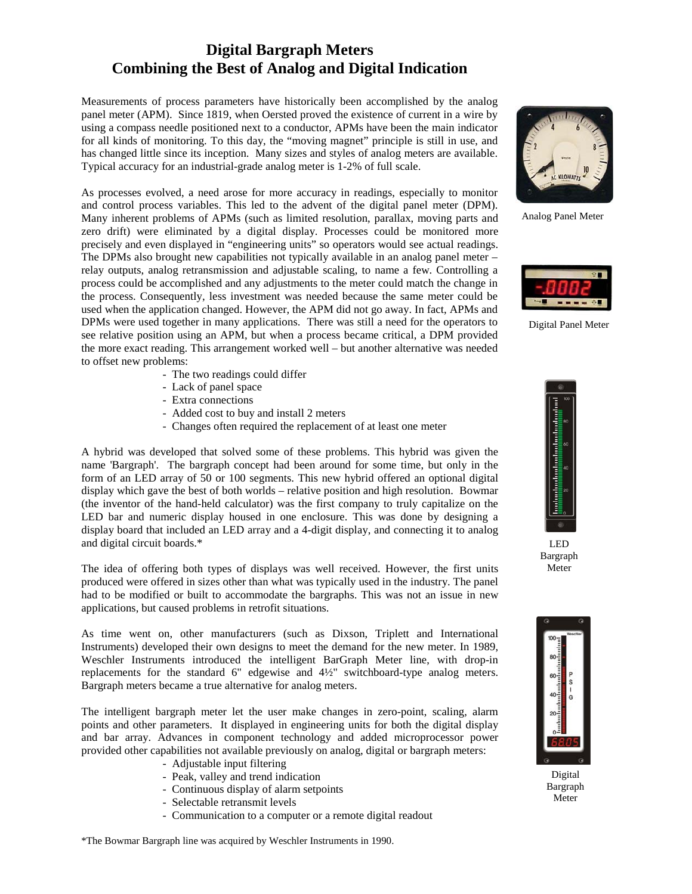## **Digital Bargraph Meters Combining the Best of Analog and Digital Indication**

Measurements of process parameters have historically been accomplished by the analog panel meter (APM). Since 1819, when Oersted proved the existence of current in a wire by using a compass needle positioned next to a conductor, APMs have been the main indicator for all kinds of monitoring. To this day, the "moving magnet" principle is still in use, and has changed little since its inception. Many sizes and styles of analog meters are available. Typical accuracy for an industrial-grade analog meter is 1-2% of full scale.

As processes evolved, a need arose for more accuracy in readings, especially to monitor and control process variables. This led to the advent of the digital panel meter (DPM). Many inherent problems of APMs (such as limited resolution, parallax, moving parts and zero drift) were eliminated by a digital display. Processes could be monitored more precisely and even displayed in "engineering units" so operators would see actual readings. The DPMs also brought new capabilities not typically available in an analog panel meter – relay outputs, analog retransmission and adjustable scaling, to name a few. Controlling a process could be accomplished and any adjustments to the meter could match the change in the process. Consequently, less investment was needed because the same meter could be used when the application changed. However, the APM did not go away. In fact, APMs and DPMs were used together in many applications. There was still a need for the operators to see relative position using an APM, but when a process became critical, a DPM provided the more exact reading. This arrangement worked well – but another alternative was needed to offset new problems:

- The two readings could differ
- Lack of panel space
- Extra connections
- Added cost to buy and install 2 meters
- Changes often required the replacement of at least one meter

A hybrid was developed that solved some of these problems. This hybrid was given the name 'Bargraph'. The bargraph concept had been around for some time, but only in the form of an LED array of 50 or 100 segments. This new hybrid offered an optional digital display which gave the best of both worlds – relative position and high resolution. Bowmar (the inventor of the hand-held calculator) was the first company to truly capitalize on the LED bar and numeric display housed in one enclosure. This was done by designing a display board that included an LED array and a 4-digit display, and connecting it to analog and digital circuit boards.\*

The idea of offering both types of displays was well received. However, the first units produced were offered in sizes other than what was typically used in the industry. The panel had to be modified or built to accommodate the bargraphs. This was not an issue in new applications, but caused problems in retrofit situations.

As time went on, other manufacturers (such as Dixson, Triplett and International Instruments) developed their own designs to meet the demand for the new meter. In 1989, Weschler Instruments introduced the intelligent BarGraph Meter line, with drop-in replacements for the standard 6" edgewise and 4½" switchboard-type analog meters. Bargraph meters became a true alternative for analog meters.

The intelligent bargraph meter let the user make changes in zero-point, scaling, alarm points and other parameters. It displayed in engineering units for both the digital display and bar array. Advances in component technology and added microprocessor power provided other capabilities not available previously on analog, digital or bargraph meters:

- Adjustable input filtering
- Peak, valley and trend indication
- Continuous display of alarm setpoints
- Selectable retransmit levels
- Communication to a computer or a remote digital readout



Analog Panel Meter



Digital Panel Meter



LED Bargraph Meter



Digital Bargraph Meter

\*The Bowmar Bargraph line was acquired by Weschler Instruments in 1990.